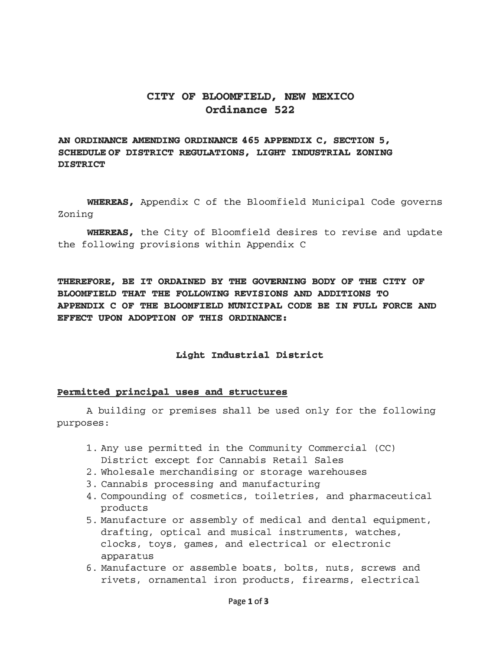# **CITY OF BLOOMFIELD, NEW MEXICO Ordinance 522**

# **AN ORDINANCE AMENDING ORDINANCE 465 APPENDIX C, SECTION 5, SCHEDULE OF DISTRICT REGULATIONS, LIGHT INDUSTRIAL ZONING DISTRICT**

**WHEREAS,** Appendix C of the Bloomfield Municipal Code governs Zoning

**WHEREAS,** the City of Bloomfield desires to revise and update the following provisions within Appendix C

**THEREFORE, BE IT ORDAINED BY THE GOVERNING BODY OF THE CITY OF BLOOMFIELD THAT THE FOLLOWING REVISIONS AND ADDITIONS TO APPENDIX C OF THE BLOOMFIELD MUNICIPAL CODE BE IN FULL FORCE AND EFFECT UPON ADOPTION OF THIS ORDINANCE:** 

### **Light Industrial District**

### **Permitted principal uses and structures**

A building or premises shall be used only for the following purposes:

- 1. Any use permitted in the Community Commercial (CC) District except for Cannabis Retail Sales
- 2. Wholesale merchandising or storage warehouses
- 3. Cannabis processing and manufacturing
- 4. Compounding of cosmetics, toiletries, and pharmaceutical products
- 5. Manufacture or assembly of medical and dental equipment, drafting, optical and musical instruments, watches, clocks, toys, games, and electrical or electronic apparatus
- 6. Manufacture or assemble boats, bolts, nuts, screws and rivets, ornamental iron products, firearms, electrical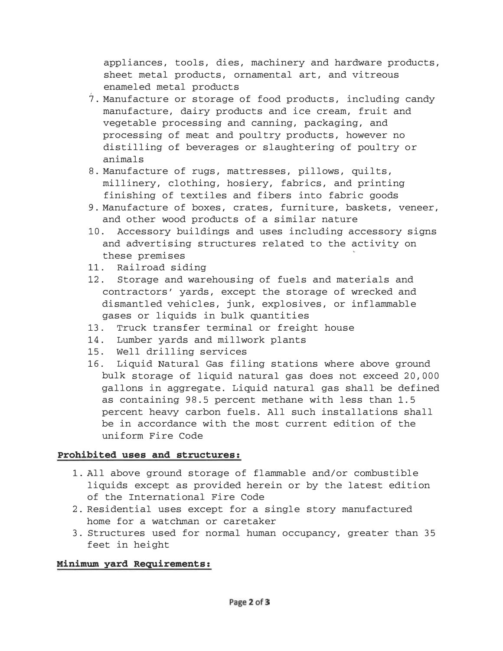appliances, tools, dies, machinery and hardware products, sheet metal products, ornamental art, and vitreous enameled metal products

- $\overset{.}{7}$ . Manufacture or storage of food products, including candy manufacture, dairy products and ice cream, fruit and vegetable processing and canning, packaging, and processing of meat and poultry products, however no distilling of beverages or slaughtering of poultry or animals
- 8. Manufacture of rugs, mattresses, pillows, quilts, millinery, clothing, hosiery, fabrics, and printing finishing of textiles and fibers into fabric goods
- 9. Manufacture of boxes, crates, furniture, baskets, veneer, and other wood products of a similar nature
- 10. Accessory buildings and uses including accessory signs and advertising structures related to the activity on these premises
- 11. Railroad siding
- 12. Storage and warehousing of fuels and materials and contractors' yards, except the storage of wrecked and dismantled vehicles, junk, explosives, or inflammable gases or liquids in bulk quantities
- 13. Truck transfer terminal or freight house
- 14. Lumber yards and millwork plants
- 15. Well drilling services
- 16. Liquid Natural Gas filing stations where above ground bulk storage of liquid natural gas does not exceed 20, 000 gallons in aggregate. Liquid natural gas shall be defined as containing 98. 5 percent methane with less than 1. 5 percent heavy carbon fuels. All such installations shall be in accordance with the most current edition of the uniform Fire Code

## Prohibited uses and structures:

- 1. All above ground storage of flammable and/or combustible liquids except as provided herein or by the latest edition of the International Fire Code
- 2. Residential uses except for a single story manufactured home for a watchman or caretaker
- 3. Structures used for normal human occupancy, greater than 35 feet in height

## Minimwn yard Requirements: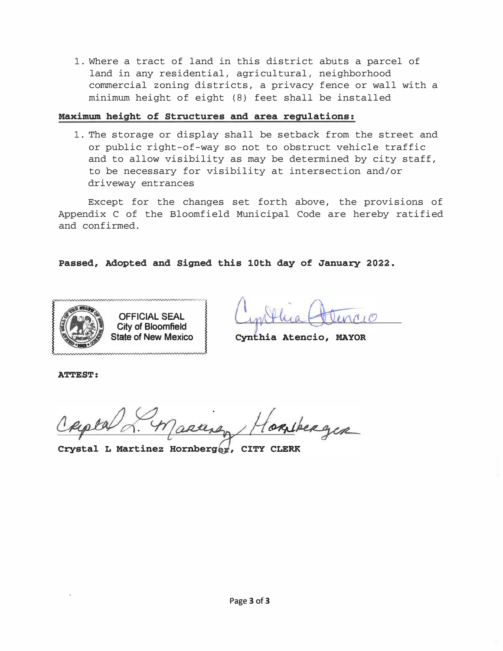1. Where a tract of land in this district abuts a parcel of land in any residential, agricultural, neighborhood commercial zoning districts, a privacy fence or wall with a minimum height of eight (8) feet shall be installed

## Maximum height of Structures and area regulations:

1. The storage or display shall be setback from the street and or public right-of-way so not to obstruct vehicle traffic and to allow visibility as may be determined by city staff, to be necessary for visibility at intersection and/or driveway entrances

Except for the changes set forth above, the provisions of Appendix C of the Bloomfield Municipal Code are hereby ratified and confirmed.

Passed, Adopted and Signed this 10th day of January 2022.



State of New Mexico } Cynthia Atencio, MAYOR

ATTEST:

bergin

Crystal L Martinez Hornberger, CITY CLERK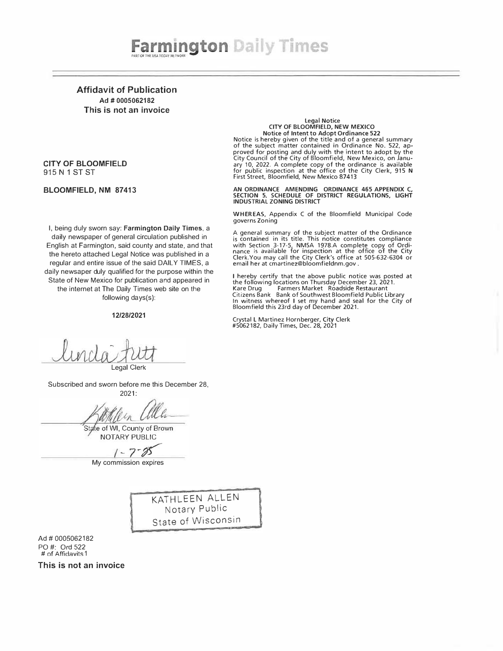Affidavit of Publication Ad # 0005062182 This is not an invoice

### CITY OF BLOOMFIELD 915 N 1 ST ST

#### BLOOMFIELD, NM 87413

Legal Notic<sup>e</sup> CITY OF BLOOMFIELD, NEW MEXICO Notice of Intent to Adopt Ordinance 522 Notice is hereby given of the title and of a general summary of the subject matter contained in Ordinance No. 522, ap-

proved for posting and duly with the intent to adopt by the City Council of the City of Bloomfield, New Mexico, on January 10, 2022. A complete copy of the ordinance is available for public inspection at the office of the City Clerk, 915 N First Street, Bloomfield, New Mexico B7413

AN ORDINANCE AMENDING ORDINANCE 465 APPENDIX C,<br>SECTION 5, SCHEDULE OF DISTRICT REGULATIONS, LIGHT<br>INDUSTRIAL ZONING DISTRICT

WHER EAS, Appendix C of the Bloomfield Municipal Code governs Zoning

A general summary of the subject matter of the Ordinance<br>is contained in its title. This notice constitutes compliance<br>with Section 3-17-5, NMSA 1978.A complete copy of Ordi-<br>nance is available for inspection at the office email her at cmartinez@bloomfieldnm.gov .

I hereby certify that the above public notice was posted at the following locations on Thursday December 23, 2021.<br>Kare Drug Farmers Market Roadside Restaurant Citizens Bank Bank of Southwest Bloomfield Public Library In witness whereof I set my hand and seal for the City of Bloomfield this 23rd day of December 2021.

Crystal L Martinez Hornberger, City Clerk #5062182, Daily Times, Dec. 28, 2021

I, being duly sworn say: Farmington Daily Times, a daily newspaper of general circulation published in English at Farmington, said county and state, and that the hereto attached Legal Notice was published in a regular and entire issue of the said DAILY TIMES, a daily newsaper duly qualified for the purpose within the State of New Mexico for publication and appeared in the internet at The Daily Times web site on the following days(s):

#### 12/28/2021

Legal Clerk

Subscribed and sworn before me this December 28, 2021:

State of WI, County of Brown NOTARY PUBLIC

My commission expires

KATHLEEN ALLEN Notary Public State of Wisconsin

Ad# 0005062182 PO#: Ord 522  $#$  of Affidavits 1

This is not an invoice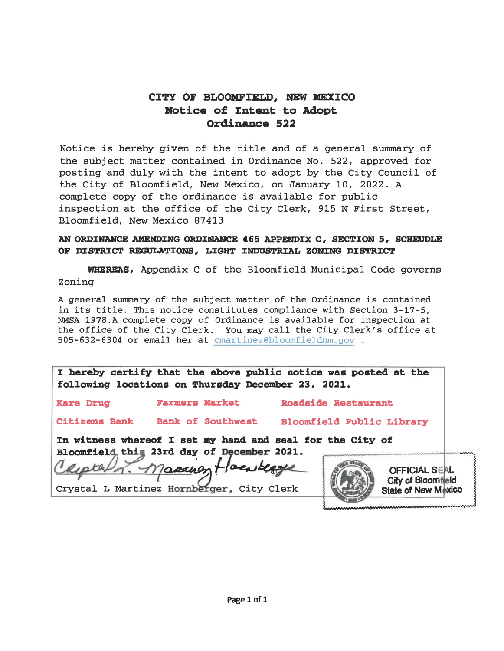# CITY OF BLOOMFIELD, NEW MEXICO Notice of Intent to Adopt Ordinance 522

Notice is hereby given of the title and of a general summary of the subject matter contained in Ordinance No. 522, approved for posting and duly with the intent to adopt by the City Council of the City of Bloomfield, New Mexico, on January 10, 2022. <sup>A</sup> complete copy of the ordinance is available for public inspection at the office of the City Clerk, 915 N First Street, Bloomfield, New Mexico 87413

# AN ORDINANCE AMENDING ORDINANCE 465 APPENDIX C, SECTION 5, SCHEUDLE OF DISTRICT REGULATIONS, LIGHT INDUSTRIAL ZONING DISTRICT

WHEREAS, Appendix c of the Bloomfield Municipal Code governs Zoning

<sup>A</sup>general summary of the subject matter of the Ordinance is contained in its title. This notice constitutes compliance with Section 3-17-5, NMSA 1978.A complete copy of Ordinance is available for inspection at the office of the City Clerk. You may call the City Clerk's office at 505-632-6304 or email her at cmartinez@bloomfieldnm.gov .

:I hereby certify that the above public notice was posted at the following locations on Thursday December 23, 2021.

Kare Drug Farmers Market Roadside Restaurant

Citizens Bank Bank of Southwest Bloomfield Public Library

In witness whereof I set my hand and seal for the City of Bloomfield this 23rd day of December 2021.

 $\overline{ }$ 8. Maarney Hoenberge

Crystal L Martinez Hornberger, City Clerk



OFFICIAL SEAL City of Bloomfield **State of New Mexico** 

..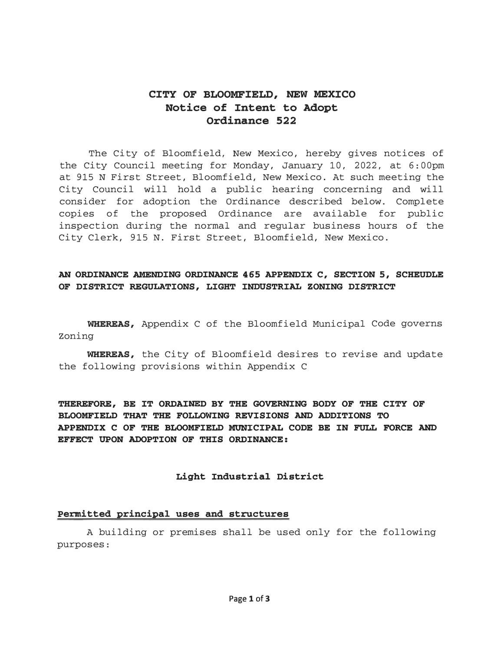# CITY OF BLOOMFIELD, NEW MEXICO Notice of Intent to Adopt Ordinance 522

The City of Bloomfield, New Mexico, hereby gives notices of the City Council meeting for Monday, January 10, 2022, at 6:00pm at 915 N First Street, Bloomfield, New Mexico. At such meeting the City Council will hold a public hearing concerning and will consider for adoption the Ordinance described below. Complete copies of the proposed Ordinance are available for public inspection during the normal and regular business hours of the City Clerk, 915 N. First Street, Bloomfield, New Mexico.

# AN ORDINANCE AMENDING ORDINANCE 465 APPENDIX C, SECTION 5, SCHEUDLE OF DISTRICT REGULATIONS, LIGHT INDUSTRIAL ZONING DISTRICT

WHEREAS, Appendix C of the Bloomfield Municipal Code governs Zoning

WHEREAS, the City of Bloomfield desires to revise and update the following provisions within Appendix C

THEREFORE, BE IT ORDAINED BY THE GOVERNING BODY OF THE CITY OF BLOOMFIELD THAT THE FOLLOWING REVISIONS AND ADDITIONS TO APPENDIX C OF THE BLOOMFIELD MUNICIPAL CODE BE IN FULL FORCE AND EFFECT UPON ADOPTION OF THIS ORDINANCE:

### Light Industrial District

### Permitted principal uses and structures

A building or premises shall be used only for the following purposes: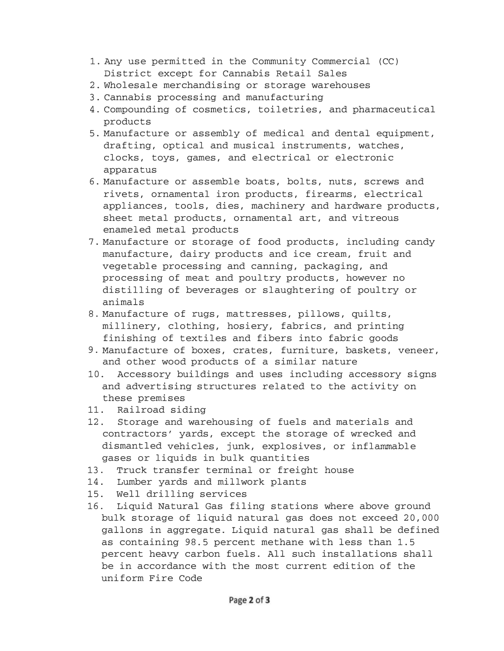- 1. Any use permitted in the Community Commercial (CC) District except for Cannabis Retail Sales
- 2. Wholesale merchandising or storage warehouses
- 3. Cannabis processing and manufacturing
- 4. Compounding of cosmetics, toiletries, and pharmaceutical products
- 5. Manufacture or assembly of medical and dental equipment, drafting, optical and musical instruments, watches, clocks, toys, games, and electrical or electronic apparatus
- 6. Manufacture or assemble boats, bolts, nuts, screws and rivets, ornamental iron products, firearms, electrical appliances, tools, dies, machinery and hardware products, sheet metal products, ornamental art, and vitreous enameled metal products
- 7. Manufacture or storage of food products, including candy manufacture, dairy products and ice cream, fruit and vegetable processing and canning, packaging, and processing of meat and poultry products, however no distilling of beverages or slaughtering of poultry or animals
- 8. Manufacture of rugs, mattresses, pillows, quilts, millinery, clothing, hosiery, fabrics, and printing finishing of textiles and fibers into fabric goods
- 9. Manufacture of boxes, crates, furniture, baskets, veneer, and other wood products of a similar nature
- 10. Accessory buildings and uses including accessory signs and advertising structures related to the activity on these premises
- 11. Railroad siding
- 12. Storage and warehousing of fuels and materials and contractors' yards, except the storage of wrecked and dismantled vehicles, junk, explosives, or inflammable gases or liquids in bulk quantities
- 13. Truck transfer terminal or freight house
- 14. Lumber yards and millwork plants
- 15. Well drilling services
- 16. Liquid Natural Gas filing stations where above ground bulk storage of liquid natural gas does not exceed 20, 000 gallons in aggregate. Liquid natural gas shall be defined as containing 98. 5 percent methane with less than 1. 5 percent heavy carbon fuels. All such installations shall be in accordance with the most current edition of the uniform Fire Code